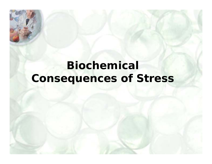## **Biochemical Consequences of Stress**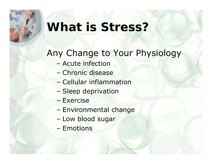### **What is Stress?**

#### Any Change to Your Physiology

- Acute infection
- Chronic disease
- Cellular inflammation
- –Sleep deprivation
- Exercise
- –Environmental change
- –Low blood sugar
- Emotions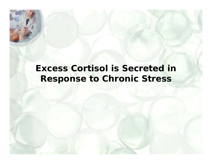#### **Excess Cortisol is Secreted in Response to Chronic Stress**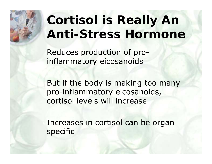# **Cortisol is Really An Anti-Stress Hormone**

Reduces production of proinflammatory eicosanoids

But if the body is making too many pro-inflammatory eicosanoids, cortisol levels will increase

Increases in cortisol can be organ specific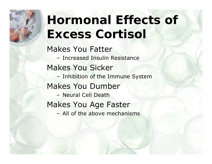# **Hormonal Effects of Excess Cortisol**

#### Makes You Fatter

– Increased Insulin Resistance Makes You Sicker – Inhibition of the Immune System Makes You Dumber – Neural Cell Death

Makes You Age Faster

– All of the above mechanisms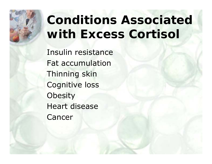# **Conditions Associated with Excess Cortisol**

Insulin resistance Fat accumulation Thinning skin Cognitive loss **Obesity** Heart disease Cancer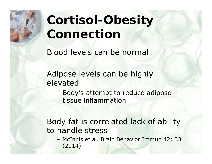# **Cortisol-Obesity Connection**

Blood levels can be normal

Adipose levels can be highly elevated

– Body's attempt to reduce adipose tissue inflammation

#### Body fat is correlated lack of ability to handle stress

– McInnis et al. Brain Behavior Immun 42: 33 (2014)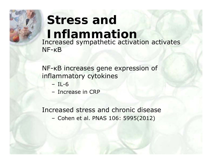#### **Stress and Inflammation** Increased sympathetic activation activates NF-κB

NF-<sup>κ</sup>B increases gene expression of inflammatory cytokines

- IL-6
- Increase in CRP

Increased stress and chronic disease–Cohen et al. PNAS 106: 5995(2012)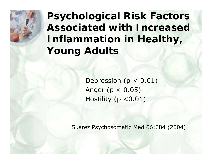**Psychological Risk Factors Associated with Increased Inflammation in Healthy, Young Adults**

> Depression ( $p < 0.01$ ) Anger ( $p < 0.05$ ) Hostility ( $p < 0.01$ )

Suarez Psychosomatic Med 66:684 (2004)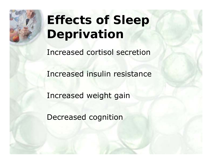

# **Effects of Sleep Deprivation**

Increased cortisol secretion

Increased insulin resistance

Increased weight gain

Decreased cognition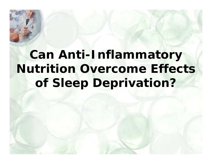## **Can Anti-Inflammatory Nutrition Overcome Effects of Sleep Deprivation?**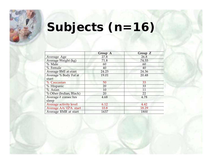# **Subjects (n=16)**

|                               | Group A | Group Z |
|-------------------------------|---------|---------|
| Average Age                   | 27.8    | 26.8    |
| Average Weight (kg)           | 71.8    | 74.55   |
| % Male                        | 60      | 60      |
| $\sqrt%$ Female               | 40      | 40      |
| Average BMI at start          | 24.25   | 24.36   |
| Average % Body Fat at         | 19.01   | 20.48   |
| start                         |         |         |
| % Caucasian                   | 50      | 33      |
| % Hispanic                    | 20      | 33      |
| % Asian                       | 10      | 11      |
| % Other (Indian, Black)       | 20      | 22      |
| Average # consec hrs          | 4.68    | 4.78    |
| sleep                         |         |         |
| <b>Average activity level</b> | 6.12    | 4.42    |
| Average AA/EPA start          | 10.8    | 18.29   |
| Average RMR at start          | 1637    | 1800    |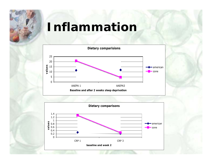### **Inflammation**



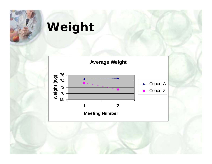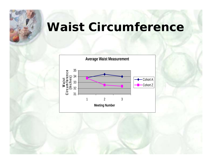### **Waist Circumference**

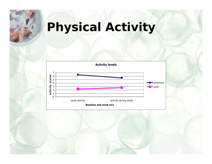# **Physical Activity**

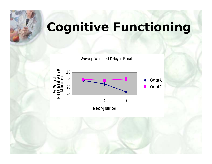## **Cognitive Functioning**

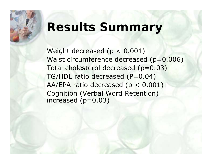## **Results Summary**

Weight decreased (p < 0.001) Waist circumference decreased (p=0.006) Total cholesterol decreased (p=0.03) TG/HDL ratio decreased (P=0.04) AA/EPA ratio decreased (p < 0.001) Cognition (Verbal Word Retention) increased (p=0.03)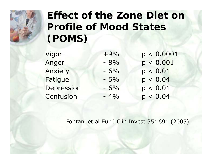

#### **Effect of the Zone Diet on Profile of Mood States (POMS)**

Vigor +9% p < 0.0001 Anger - 8% p < 0.001 Anxiety - 6% p < 0.01 Fatigue  $-6\%$   $p < 0.04$ Depression  $-6\%$  p <  $0.01$  $Confusion$   $-4\%$   $p < 0.04$ 

Fontani et al Eur J Clin Invest 35: 691 (2005)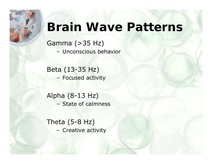## **Brain Wave Patterns**

Gamma (>35 Hz) – Unconscious behavior

Beta (13-35 Hz) –Focused activity

Alpha (8-13 Hz) – State of calmness

Theta (5-8 Hz) – Creative activity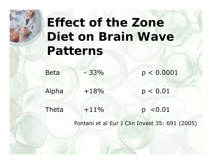# **Effect of the Zone Diet on Brain Wave Patterns**

| <b>Beta</b> | $-33%$ | p < 0.0001 |
|-------------|--------|------------|
| Alpha       | $+18%$ | p < 0.01   |
| Theta       | $+11%$ | p < 0.01   |

Fontani et al Eur J Clin Invest 35: 691 (2005)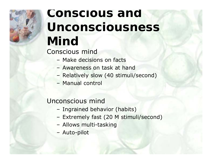# **Conscious and Unconsciousness Mind**

Conscious mind

- Make decisions on facts
- Awareness on task at hand
- –Relatively slow (40 stimuli/second)
- Manual control

#### Unconscious mind

- –Ingrained behavior (habits)
- –Extremely fast (20 M stimuli/second)
- –Allows multi-tasking
- –Auto-pilot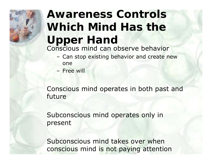# **Awareness Controls Which Mind Has the Upper Hand** Conscious mind can observe behavior

- – Can stop existing behavior and create new one
- Free will

Conscious mind operates in both past and future

Subconscious mind operates only in present

Subconscious mind takes over when conscious mind is not paying attention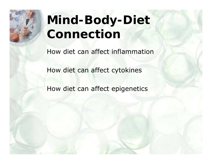# **Mind-Body-Diet Connection**

How diet can affect inflammation

How diet can affect cytokines

How diet can affect epigenetics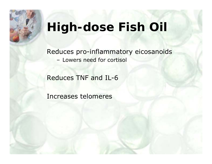## **High-dose Fish Oil**

Reduces pro-inflammatory eicosanoids – Lowers need for cortisol

Reduces TNF and IL-6

Increases telomeres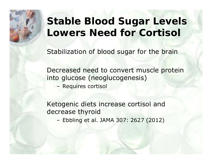#### **Stable Blood Sugar Levels Lowers Need for Cortisol**

Stabilization of blood sugar for the brain

Decreased need to convert muscle protein into glucose (neoglucogenesis)

–Requires cortisol

Ketogenic diets increase cortisol and decrease thyroid

–Ebbling et al. JAMA 307: 2627 (2012)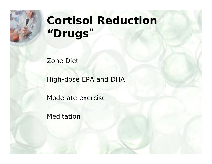

## **Cortisol Reduction "Drugs** "

Zone Diet

High-dose EPA and DHA

Moderate exercise

Meditation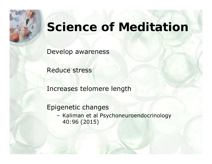### **Science of Meditation**

Develop awareness

Reduce stress

Increases telomere length

Epigenetic changes

– Kaliman et al Psychoneuroendocrinology 40:96 (2015)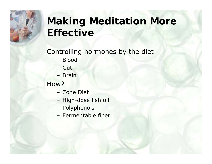### **Making Meditation More Effective**

#### Controlling hormones by the diet

- Blood
- Gut
- Brain

How?

- Zone Diet
- –High-dose fish oil
- –Polyphenols
- Fermentable fiber